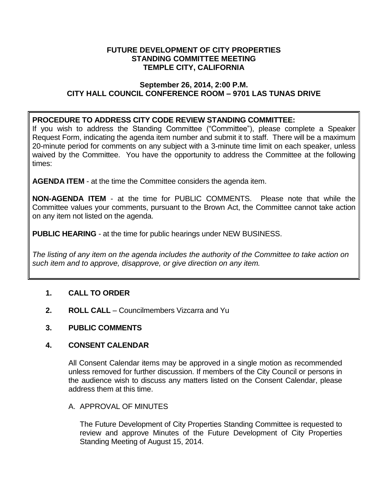## **FUTURE DEVELOPMENT OF CITY PROPERTIES STANDING COMMITTEE MEETING TEMPLE CITY, CALIFORNIA**

## **September 26, 2014, 2:00 P.M. CITY HALL COUNCIL CONFERENCE ROOM – 9701 LAS TUNAS DRIVE**

## **PROCEDURE TO ADDRESS CITY CODE REVIEW STANDING COMMITTEE:**

If you wish to address the Standing Committee ("Committee"), please complete a Speaker Request Form, indicating the agenda item number and submit it to staff. There will be a maximum 20-minute period for comments on any subject with a 3-minute time limit on each speaker, unless waived by the Committee. You have the opportunity to address the Committee at the following times:

**AGENDA ITEM** - at the time the Committee considers the agenda item.

**NON-AGENDA ITEM** - at the time for PUBLIC COMMENTS. Please note that while the Committee values your comments, pursuant to the Brown Act, the Committee cannot take action on any item not listed on the agenda.

**PUBLIC HEARING** - at the time for public hearings under NEW BUSINESS.

*The listing of any item on the agenda includes the authority of the Committee to take action on such item and to approve, disapprove, or give direction on any item.*

# **1. CALL TO ORDER**

**2. ROLL CALL** – Councilmembers Vizcarra and Yu

# **3. PUBLIC COMMENTS**

## **4. CONSENT CALENDAR**

All Consent Calendar items may be approved in a single motion as recommended unless removed for further discussion. If members of the City Council or persons in the audience wish to discuss any matters listed on the Consent Calendar, please address them at this time.

## A. APPROVAL OF MINUTES

The Future Development of City Properties Standing Committee is requested to review and approve Minutes of the Future Development of City Properties Standing Meeting of August 15, 2014.